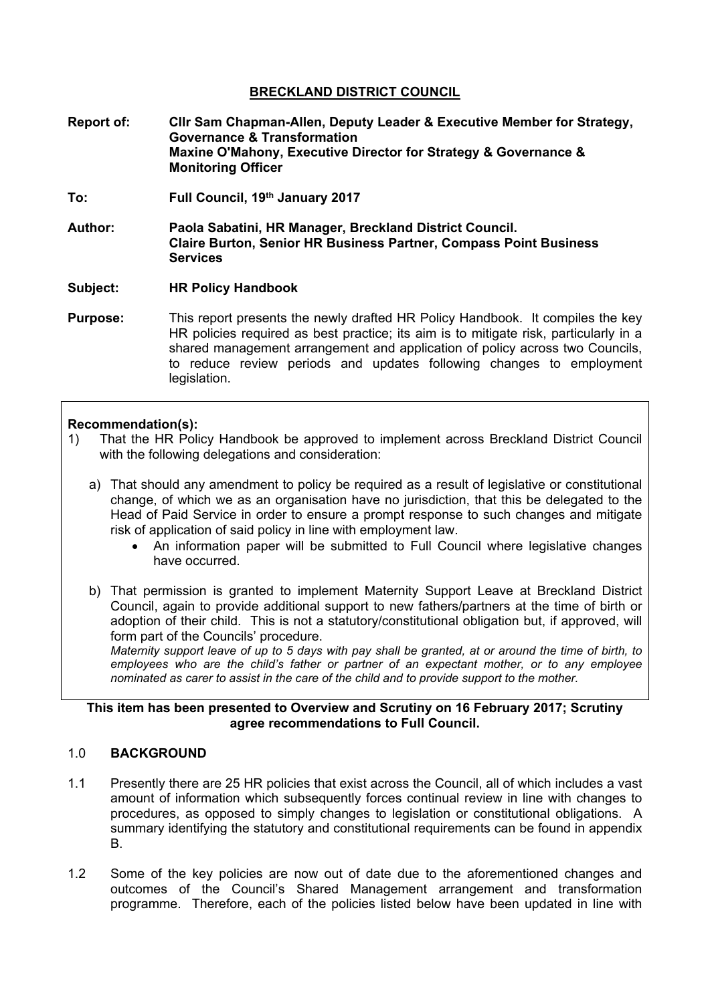# **BRECKLAND DISTRICT COUNCIL**

- **Report of: Cllr Sam Chapman-Allen, Deputy Leader & Executive Member for Strategy, Governance & Transformation Maxine O'Mahony, Executive Director for Strategy & Governance & Monitoring Officer**
- **To: Full Council, 19th January 2017**
- **Author: Paola Sabatini, HR Manager, Breckland District Council. Claire Burton, Senior HR Business Partner, Compass Point Business Services**

#### **Subject: HR Policy Handbook**

**Purpose:** This report presents the newly drafted HR Policy Handbook. It compiles the key HR policies required as best practice; its aim is to mitigate risk, particularly in a shared management arrangement and application of policy across two Councils, to reduce review periods and updates following changes to employment legislation.

### **Recommendation(s):**

- 1) That the HR Policy Handbook be approved to implement across Breckland District Council with the following delegations and consideration:
	- a) That should any amendment to policy be required as a result of legislative or constitutional change, of which we as an organisation have no jurisdiction, that this be delegated to the Head of Paid Service in order to ensure a prompt response to such changes and mitigate risk of application of said policy in line with employment law.
		- An information paper will be submitted to Full Council where legislative changes have occurred.
	- b) That permission is granted to implement Maternity Support Leave at Breckland District Council, again to provide additional support to new fathers/partners at the time of birth or adoption of their child. This is not a statutory/constitutional obligation but, if approved, will form part of the Councils' procedure.

Maternity support leave of up to 5 days with pay shall be granted, at or around the time of birth, to *employees who are the child's father or partner of an expectant mother, or to any employee nominated as carer to assist in the care of the child and to provide support to the mother.*

### **This item has been presented to Overview and Scrutiny on 16 February 2017; Scrutiny agree recommendations to Full Council.**

# 1.0 **BACKGROUND**

- 1.1 Presently there are 25 HR policies that exist across the Council, all of which includes a vast amount of information which subsequently forces continual review in line with changes to procedures, as opposed to simply changes to legislation or constitutional obligations. A summary identifying the statutory and constitutional requirements can be found in appendix B.
- 1.2 Some of the key policies are now out of date due to the aforementioned changes and outcomes of the Council's Shared Management arrangement and transformation programme. Therefore, each of the policies listed below have been updated in line with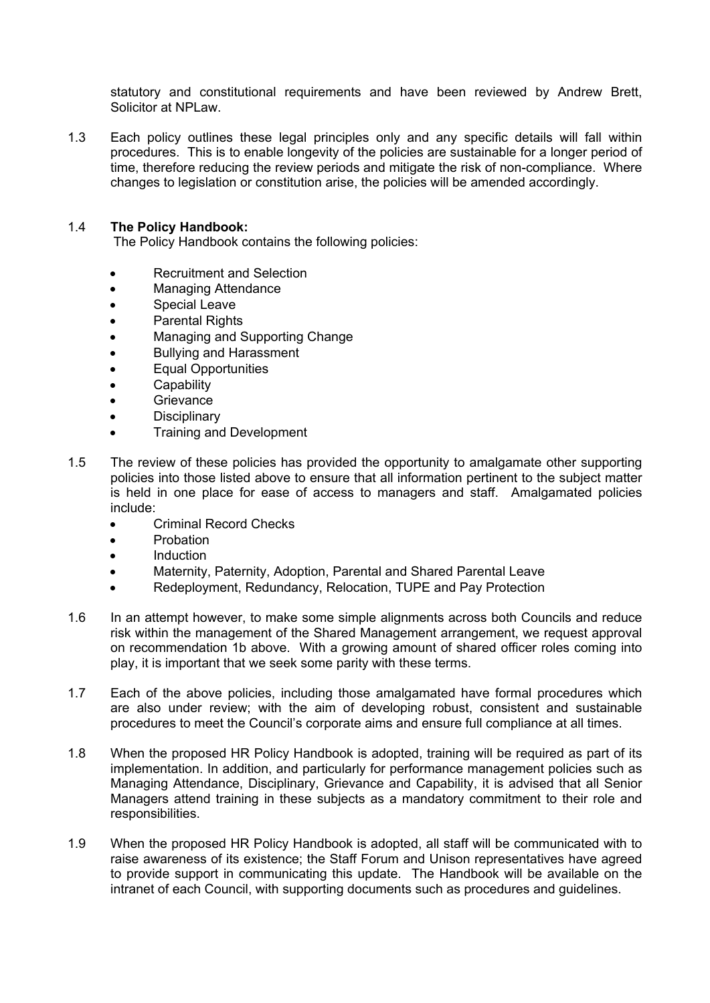statutory and constitutional requirements and have been reviewed by Andrew Brett, Solicitor at NPLaw.

1.3 Each policy outlines these legal principles only and any specific details will fall within procedures. This is to enable longevity of the policies are sustainable for a longer period of time, therefore reducing the review periods and mitigate the risk of non-compliance. Where changes to legislation or constitution arise, the policies will be amended accordingly.

## 1.4 **The Policy Handbook:**

The Policy Handbook contains the following policies:

- Recruitment and Selection
- Managing Attendance
- **•** Special Leave
- Parental Rights
- Managing and Supporting Change
- Bullying and Harassment
- Equal Opportunities
- **•** Capability
- **Grievance**
- **Disciplinary**
- Training and Development
- 1.5 The review of these policies has provided the opportunity to amalgamate other supporting policies into those listed above to ensure that all information pertinent to the subject matter is held in one place for ease of access to managers and staff. Amalgamated policies include:
	- Criminal Record Checks
	- **•** Probation
	- Induction
	- Maternity, Paternity, Adoption, Parental and Shared Parental Leave
	- Redeployment, Redundancy, Relocation, TUPE and Pay Protection
- 1.6 In an attempt however, to make some simple alignments across both Councils and reduce risk within the management of the Shared Management arrangement, we request approval on recommendation 1b above. With a growing amount of shared officer roles coming into play, it is important that we seek some parity with these terms.
- 1.7 Each of the above policies, including those amalgamated have formal procedures which are also under review; with the aim of developing robust, consistent and sustainable procedures to meet the Council's corporate aims and ensure full compliance at all times.
- 1.8 When the proposed HR Policy Handbook is adopted, training will be required as part of its implementation. In addition, and particularly for performance management policies such as Managing Attendance, Disciplinary, Grievance and Capability, it is advised that all Senior Managers attend training in these subjects as a mandatory commitment to their role and responsibilities.
- 1.9 When the proposed HR Policy Handbook is adopted, all staff will be communicated with to raise awareness of its existence; the Staff Forum and Unison representatives have agreed to provide support in communicating this update. The Handbook will be available on the intranet of each Council, with supporting documents such as procedures and guidelines.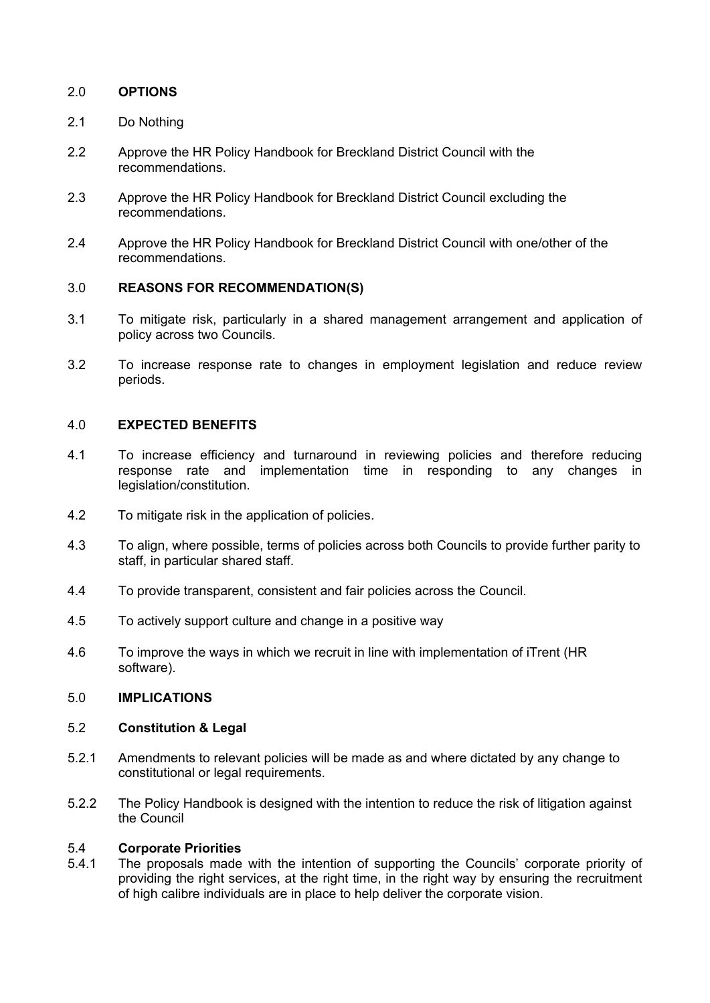# 2.0 **OPTIONS**

- 2.1 Do Nothing
- 2.2 Approve the HR Policy Handbook for Breckland District Council with the recommendations.
- 2.3 Approve the HR Policy Handbook for Breckland District Council excluding the recommendations.
- 2.4 Approve the HR Policy Handbook for Breckland District Council with one/other of the recommendations.

### 3.0 **REASONS FOR RECOMMENDATION(S)**

- 3.1 To mitigate risk, particularly in a shared management arrangement and application of policy across two Councils.
- 3.2 To increase response rate to changes in employment legislation and reduce review periods.

## 4.0 **EXPECTED BENEFITS**

- 4.1 To increase efficiency and turnaround in reviewing policies and therefore reducing response rate and implementation time in responding to any changes in legislation/constitution.
- 4.2 To mitigate risk in the application of policies.
- 4.3 To align, where possible, terms of policies across both Councils to provide further parity to staff, in particular shared staff.
- 4.4 To provide transparent, consistent and fair policies across the Council.
- 4.5 To actively support culture and change in a positive way
- 4.6 To improve the ways in which we recruit in line with implementation of iTrent (HR software).

### 5.0 **IMPLICATIONS**

### 5.2 **Constitution & Legal**

- 5.2.1 Amendments to relevant policies will be made as and where dictated by any change to constitutional or legal requirements.
- 5.2.2 The Policy Handbook is designed with the intention to reduce the risk of litigation against the Council

#### 5.4 **Corporate Priorities**

5.4.1 The proposals made with the intention of supporting the Councils' corporate priority of providing the right services, at the right time, in the right way by ensuring the recruitment of high calibre individuals are in place to help deliver the corporate vision.